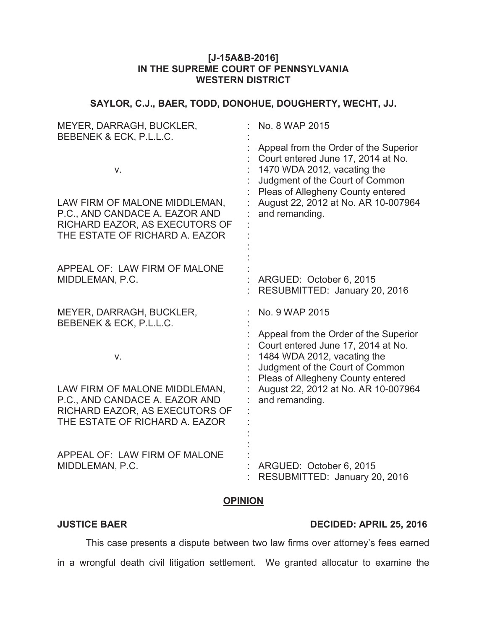# **[J-15A&B-2016] IN THE SUPREME COURT OF PENNSYLVANIA WESTERN DISTRICT**

# **SAYLOR, C.J., BAER, TODD, DONOHUE, DOUGHERTY, WECHT, JJ.**

| MEYER, DARRAGH, BUCKLER,<br>BEBENEK & ECK, P.L.L.C.                                                                                       | No. 8 WAP 2015                                                                                                                                                                                                                              |
|-------------------------------------------------------------------------------------------------------------------------------------------|---------------------------------------------------------------------------------------------------------------------------------------------------------------------------------------------------------------------------------------------|
| V.<br>LAW FIRM OF MALONE MIDDLEMAN,<br>P.C., AND CANDACE A. EAZOR AND<br>RICHARD EAZOR, AS EXECUTORS OF<br>THE ESTATE OF RICHARD A. EAZOR | Appeal from the Order of the Superior<br>Court entered June 17, 2014 at No.<br>1470 WDA 2012, vacating the<br>Judgment of the Court of Common<br>Pleas of Allegheny County entered<br>August 22, 2012 at No. AR 10-007964<br>and remanding. |
| APPEAL OF: LAW FIRM OF MALONE<br>MIDDLEMAN, P.C.                                                                                          | ARGUED: October 6, 2015<br>RESUBMITTED: January 20, 2016                                                                                                                                                                                    |
| MEYER, DARRAGH, BUCKLER,<br>BEBENEK & ECK, P.L.L.C.                                                                                       | No. 9 WAP 2015                                                                                                                                                                                                                              |
| V.<br>LAW FIRM OF MALONE MIDDLEMAN,                                                                                                       | Appeal from the Order of the Superior<br>Court entered June 17, 2014 at No.<br>1484 WDA 2012, vacating the<br>Judgment of the Court of Common<br>Pleas of Allegheny County entered<br>August 22, 2012 at No. AR 10-007964                   |
| P.C., AND CANDACE A. EAZOR AND<br>RICHARD EAZOR, AS EXECUTORS OF<br>THE ESTATE OF RICHARD A. EAZOR                                        | and remanding.                                                                                                                                                                                                                              |
| APPEAL OF: LAW FIRM OF MALONE<br>MIDDLEMAN, P.C.                                                                                          | ARGUED: October 6, 2015<br>RESUBMITTED: January 20, 2016                                                                                                                                                                                    |

### **OPINION**

## **JUSTICE BAER DECIDED: APRIL 25, 2016**

This case presents a dispute between two law firms over attorney's fees earned in a wrongful death civil litigation settlement. We granted allocatur to examine the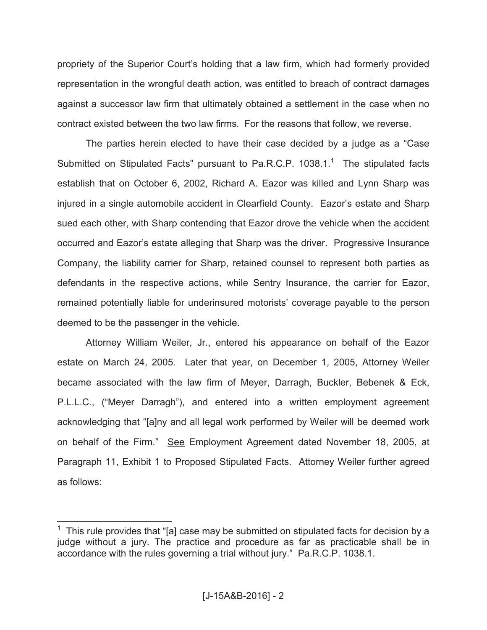propriety of the Superior Court's holding that a law firm, which had formerly provided representation in the wrongful death action, was entitled to breach of contract damages against a successor law firm that ultimately obtained a settlement in the case when no contract existed between the two law firms. For the reasons that follow, we reverse.

The parties herein elected to have their case decided by a judge as a "Case Submitted on Stipulated Facts" pursuant to Pa.R.C.P.  $1038.1$ .<sup>1</sup> The stipulated facts establish that on October 6, 2002, Richard A. Eazor was killed and Lynn Sharp was injured in a single automobile accident in Clearfield County. Eazor's estate and Sharp sued each other, with Sharp contending that Eazor drove the vehicle when the accident occurred and Eazor's estate alleging that Sharp was the driver. Progressive Insurance Company, the liability carrier for Sharp, retained counsel to represent both parties as defendants in the respective actions, while Sentry Insurance, the carrier for Eazor, remained potentially liable for underinsured motorists' coverage payable to the person deemed to be the passenger in the vehicle.

Attorney William Weiler, Jr., entered his appearance on behalf of the Eazor estate on March 24, 2005. Later that year, on December 1, 2005, Attorney Weiler became associated with the law firm of Meyer, Darragh, Buckler, Bebenek & Eck, P.L.L.C., ("Meyer Darragh"), and entered into a written employment agreement acknowledging that "[a]ny and all legal work performed by Weiler will be deemed work on behalf of the Firm." See Employment Agreement dated November 18, 2005, at Paragraph 11, Exhibit 1 to Proposed Stipulated Facts. Attorney Weiler further agreed as follows:

 $1$  This rule provides that "[a] case may be submitted on stipulated facts for decision by a judge without a jury. The practice and procedure as far as practicable shall be in accordance with the rules governing a trial without jury." Pa.R.C.P. 1038.1.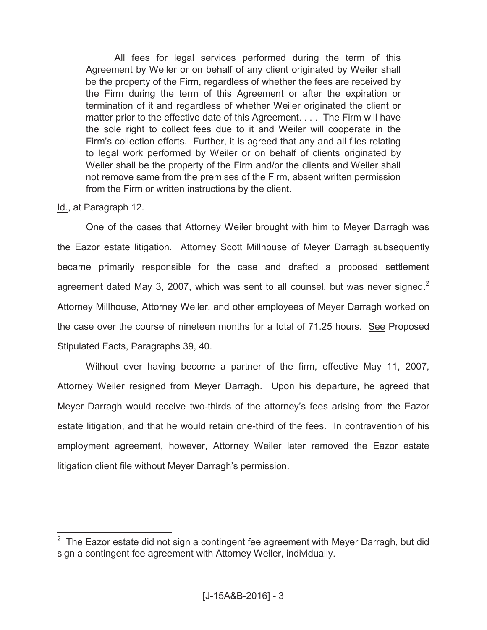All fees for legal services performed during the term of this Agreement by Weiler or on behalf of any client originated by Weiler shall be the property of the Firm, regardless of whether the fees are received by the Firm during the term of this Agreement or after the expiration or termination of it and regardless of whether Weiler originated the client or matter prior to the effective date of this Agreement. . . . The Firm will have the sole right to collect fees due to it and Weiler will cooperate in the Firm's collection efforts. Further, it is agreed that any and all files relating to legal work performed by Weiler or on behalf of clients originated by Weiler shall be the property of the Firm and/or the clients and Weiler shall not remove same from the premises of the Firm, absent written permission from the Firm or written instructions by the client.

# Id., at Paragraph 12.

One of the cases that Attorney Weiler brought with him to Meyer Darragh was the Eazor estate litigation. Attorney Scott Millhouse of Meyer Darragh subsequently became primarily responsible for the case and drafted a proposed settlement agreement dated May 3, 2007, which was sent to all counsel, but was never signed.<sup>2</sup> Attorney Millhouse, Attorney Weiler, and other employees of Meyer Darragh worked on the case over the course of nineteen months for a total of 71.25 hours. See Proposed Stipulated Facts, Paragraphs 39, 40.

Without ever having become a partner of the firm, effective May 11, 2007, Attorney Weiler resigned from Meyer Darragh. Upon his departure, he agreed that Meyer Darragh would receive two-thirds of the attorney's fees arising from the Eazor estate litigation, and that he would retain one-third of the fees. In contravention of his employment agreement, however, Attorney Weiler later removed the Eazor estate litigation client file without Meyer Darragh's permission.

 $\overline{\hspace{1cm}}^2$  The Eazor estate did not sign a contingent fee agreement with Meyer Darragh, but did sign a contingent fee agreement with Attorney Weiler, individually.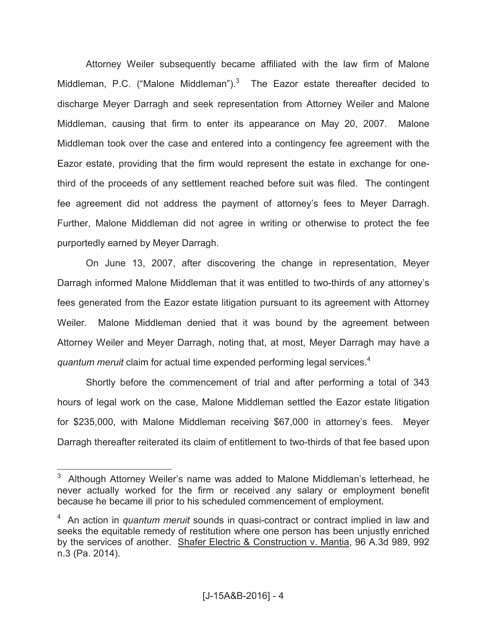Attorney Weiler subsequently became affiliated with the law firm of Malone Middleman, P.C. ("Malone Middleman"). $3$  The Eazor estate thereafter decided to discharge Meyer Darragh and seek representation from Attorney Weiler and Malone Middleman, causing that firm to enter its appearance on May 20, 2007. Malone Middleman took over the case and entered into a contingency fee agreement with the Eazor estate, providing that the firm would represent the estate in exchange for onethird of the proceeds of any settlement reached before suit was filed. The contingent fee agreement did not address the payment of attorney's fees to Meyer Darragh. Further, Malone Middleman did not agree in writing or otherwise to protect the fee purportedly earned by Meyer Darragh.

On June 13, 2007, after discovering the change in representation, Meyer Darragh informed Malone Middleman that it was entitled to two-thirds of any attorney's fees generated from the Eazor estate litigation pursuant to its agreement with Attorney Weiler. Malone Middleman denied that it was bound by the agreement between Attorney Weiler and Meyer Darragh, noting that, at most, Meyer Darragh may have a *quantum meruit* claim for actual time expended performing legal services. 4

Shortly before the commencement of trial and after performing a total of 343 hours of legal work on the case, Malone Middleman settled the Eazor estate litigation for \$235,000, with Malone Middleman receiving \$67,000 in attorney's fees. Meyer Darragh thereafter reiterated its claim of entitlement to two-thirds of that fee based upon

<sup>3</sup> Although Attorney Weiler's name was added to Malone Middleman's letterhead, he never actually worked for the firm or received any salary or employment benefit because he became ill prior to his scheduled commencement of employment.

<sup>4</sup> An action in *quantum meruit* sounds in quasi-contract or contract implied in law and seeks the equitable remedy of restitution where one person has been unjustly enriched by the services of another. Shafer Electric & Construction v. Mantia, 96 A.3d 989, 992 n.3 (Pa. 2014).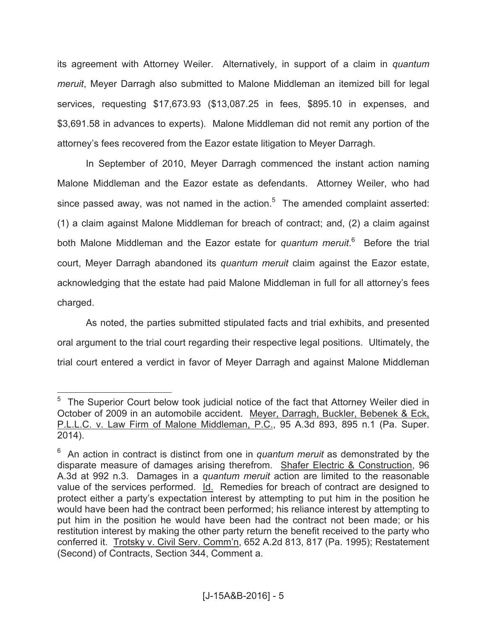its agreement with Attorney Weiler. Alternatively, in support of a claim in *quantum meruit*, Meyer Darragh also submitted to Malone Middleman an itemized bill for legal services, requesting \$17,673.93 (\$13,087.25 in fees, \$895.10 in expenses, and \$3,691.58 in advances to experts). Malone Middleman did not remit any portion of the attorney's fees recovered from the Eazor estate litigation to Meyer Darragh.

In September of 2010, Meyer Darragh commenced the instant action naming Malone Middleman and the Eazor estate as defendants. Attorney Weiler, who had since passed away, was not named in the action. $5$  The amended complaint asserted: (1) a claim against Malone Middleman for breach of contract; and, (2) a claim against both Malone Middleman and the Eazor estate for *quantum meruit*.<sup>6</sup> Before the trial court, Meyer Darragh abandoned its *quantum meruit* claim against the Eazor estate, acknowledging that the estate had paid Malone Middleman in full for all attorney's fees charged.

As noted, the parties submitted stipulated facts and trial exhibits, and presented oral argument to the trial court regarding their respective legal positions. Ultimately, the trial court entered a verdict in favor of Meyer Darragh and against Malone Middleman

<sup>&</sup>lt;sup>5</sup> The Superior Court below took judicial notice of the fact that Attorney Weiler died in October of 2009 in an automobile accident. Meyer, Darragh, Buckler, Bebenek & Eck, P.L.L.C. v. Law Firm of Malone Middleman, P.C., 95 A.3d 893, 895 n.1 (Pa. Super. 2014).

<sup>&</sup>lt;sup>6</sup> An action in contract is distinct from one in *quantum meruit* as demonstrated by the disparate measure of damages arising therefrom. Shafer Electric & Construction, 96 A.3d at 992 n.3. Damages in a *quantum meruit* action are limited to the reasonable value of the services performed. Id. Remedies for breach of contract are designed to protect either a party's expectation interest by attempting to put him in the position he would have been had the contract been performed; his reliance interest by attempting to put him in the position he would have been had the contract not been made; or his restitution interest by making the other party return the benefit received to the party who conferred it. Trotsky v. Civil Serv. Comm'n, 652 A.2d 813, 817 (Pa. 1995); Restatement (Second) of Contracts, Section 344, Comment a.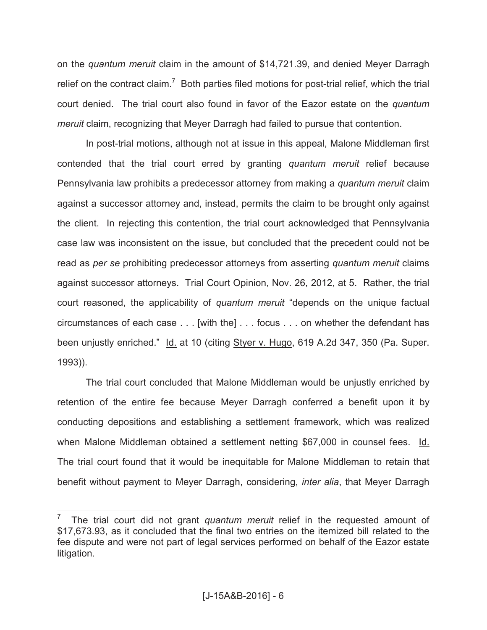on the *quantum meruit* claim in the amount of \$14,721.39, and denied Meyer Darragh relief on the contract claim.<sup>7</sup> Both parties filed motions for post-trial relief, which the trial court denied. The trial court also found in favor of the Eazor estate on the *quantum meruit* claim, recognizing that Meyer Darragh had failed to pursue that contention.

In post-trial motions, although not at issue in this appeal, Malone Middleman first contended that the trial court erred by granting *quantum meruit* relief because Pennsylvania law prohibits a predecessor attorney from making a *quantum meruit* claim against a successor attorney and, instead, permits the claim to be brought only against the client. In rejecting this contention, the trial court acknowledged that Pennsylvania case law was inconsistent on the issue, but concluded that the precedent could not be read as *per se* prohibiting predecessor attorneys from asserting *quantum meruit* claims against successor attorneys. Trial Court Opinion, Nov. 26, 2012, at 5. Rather, the trial court reasoned, the applicability of *quantum meruit* "depends on the unique factual circumstances of each case . . . [with the] . . . focus . . . on whether the defendant has been unjustly enriched." Id. at 10 (citing Styer v. Hugo, 619 A.2d 347, 350 (Pa. Super. 1993)).

The trial court concluded that Malone Middleman would be unjustly enriched by retention of the entire fee because Meyer Darragh conferred a benefit upon it by conducting depositions and establishing a settlement framework, which was realized when Malone Middleman obtained a settlement netting \$67,000 in counsel fees. Id. The trial court found that it would be inequitable for Malone Middleman to retain that benefit without payment to Meyer Darragh, considering, *inter alia*, that Meyer Darragh

<sup>7</sup> The trial court did not grant *quantum meruit* relief in the requested amount of \$17,673.93, as it concluded that the final two entries on the itemized bill related to the fee dispute and were not part of legal services performed on behalf of the Eazor estate litigation.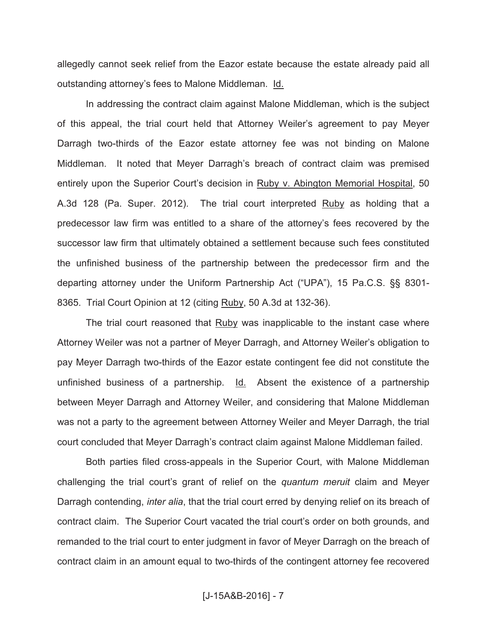allegedly cannot seek relief from the Eazor estate because the estate already paid all outstanding attorney's fees to Malone Middleman. Id.

In addressing the contract claim against Malone Middleman, which is the subject of this appeal, the trial court held that Attorney Weiler's agreement to pay Meyer Darragh two-thirds of the Eazor estate attorney fee was not binding on Malone Middleman. It noted that Meyer Darragh's breach of contract claim was premised entirely upon the Superior Court's decision in Ruby v. Abington Memorial Hospital, 50 A.3d 128 (Pa. Super. 2012). The trial court interpreted Ruby as holding that a predecessor law firm was entitled to a share of the attorney's fees recovered by the successor law firm that ultimately obtained a settlement because such fees constituted the unfinished business of the partnership between the predecessor firm and the departing attorney under the Uniform Partnership Act ("UPA"), 15 Pa.C.S. §§ 8301- 8365. Trial Court Opinion at 12 (citing Ruby, 50 A.3d at 132-36).

The trial court reasoned that Ruby was inapplicable to the instant case where Attorney Weiler was not a partner of Meyer Darragh, and Attorney Weiler's obligation to pay Meyer Darragh two-thirds of the Eazor estate contingent fee did not constitute the unfinished business of a partnership. Id. Absent the existence of a partnership between Meyer Darragh and Attorney Weiler, and considering that Malone Middleman was not a party to the agreement between Attorney Weiler and Meyer Darragh, the trial court concluded that Meyer Darragh's contract claim against Malone Middleman failed.

Both parties filed cross-appeals in the Superior Court, with Malone Middleman challenging the trial court's grant of relief on the *quantum meruit* claim and Meyer Darragh contending, *inter alia*, that the trial court erred by denying relief on its breach of contract claim. The Superior Court vacated the trial court's order on both grounds, and remanded to the trial court to enter judgment in favor of Meyer Darragh on the breach of contract claim in an amount equal to two-thirds of the contingent attorney fee recovered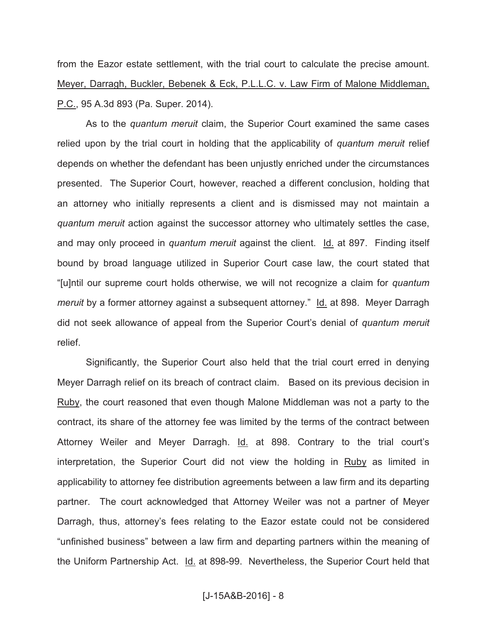from the Eazor estate settlement, with the trial court to calculate the precise amount. Meyer, Darragh, Buckler, Bebenek & Eck, P.L.L.C. v. Law Firm of Malone Middleman, P.C., 95 A.3d 893 (Pa. Super. 2014).

As to the *quantum meruit* claim, the Superior Court examined the same cases relied upon by the trial court in holding that the applicability of *quantum meruit* relief depends on whether the defendant has been unjustly enriched under the circumstances presented. The Superior Court, however, reached a different conclusion, holding that an attorney who initially represents a client and is dismissed may not maintain a *quantum meruit* action against the successor attorney who ultimately settles the case, and may only proceed in *quantum meruit* against the client. Id. at 897. Finding itself bound by broad language utilized in Superior Court case law, the court stated that "[u]ntil our supreme court holds otherwise, we will not recognize a claim for *quantum meruit* by a former attorney against a subsequent attorney." Id. at 898. Meyer Darragh did not seek allowance of appeal from the Superior Court's denial of *quantum meruit*  relief.

Significantly, the Superior Court also held that the trial court erred in denying Meyer Darragh relief on its breach of contract claim. Based on its previous decision in Ruby, the court reasoned that even though Malone Middleman was not a party to the contract, its share of the attorney fee was limited by the terms of the contract between Attorney Weiler and Meyer Darragh. Id. at 898. Contrary to the trial court's interpretation, the Superior Court did not view the holding in Ruby as limited in applicability to attorney fee distribution agreements between a law firm and its departing partner. The court acknowledged that Attorney Weiler was not a partner of Meyer Darragh, thus, attorney's fees relating to the Eazor estate could not be considered "unfinished business" between a law firm and departing partners within the meaning of the Uniform Partnership Act. Id. at 898-99. Nevertheless, the Superior Court held that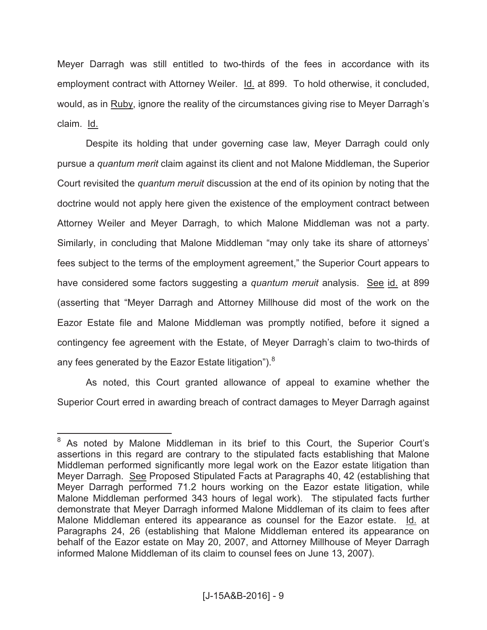Meyer Darragh was still entitled to two-thirds of the fees in accordance with its employment contract with Attorney Weiler. Id. at 899. To hold otherwise, it concluded, would, as in Ruby, ignore the reality of the circumstances giving rise to Meyer Darragh's claim. Id.

Despite its holding that under governing case law, Meyer Darragh could only pursue a *quantum merit* claim against its client and not Malone Middleman, the Superior Court revisited the *quantum meruit* discussion at the end of its opinion by noting that the doctrine would not apply here given the existence of the employment contract between Attorney Weiler and Meyer Darragh, to which Malone Middleman was not a party. Similarly, in concluding that Malone Middleman "may only take its share of attorneys' fees subject to the terms of the employment agreement," the Superior Court appears to have considered some factors suggesting a *quantum meruit* analysis. See id. at 899 (asserting that "Meyer Darragh and Attorney Millhouse did most of the work on the Eazor Estate file and Malone Middleman was promptly notified, before it signed a contingency fee agreement with the Estate, of Meyer Darragh's claim to two-thirds of any fees generated by the Eazor Estate litigation").<sup>8</sup>

As noted, this Court granted allowance of appeal to examine whether the Superior Court erred in awarding breach of contract damages to Meyer Darragh against

As noted by Malone Middleman in its brief to this Court, the Superior Court's assertions in this regard are contrary to the stipulated facts establishing that Malone Middleman performed significantly more legal work on the Eazor estate litigation than Meyer Darragh. See Proposed Stipulated Facts at Paragraphs 40, 42 (establishing that Meyer Darragh performed 71.2 hours working on the Eazor estate litigation, while Malone Middleman performed 343 hours of legal work). The stipulated facts further demonstrate that Meyer Darragh informed Malone Middleman of its claim to fees after Malone Middleman entered its appearance as counsel for the Eazor estate. Id. at Paragraphs 24, 26 (establishing that Malone Middleman entered its appearance on behalf of the Eazor estate on May 20, 2007, and Attorney Millhouse of Meyer Darragh informed Malone Middleman of its claim to counsel fees on June 13, 2007).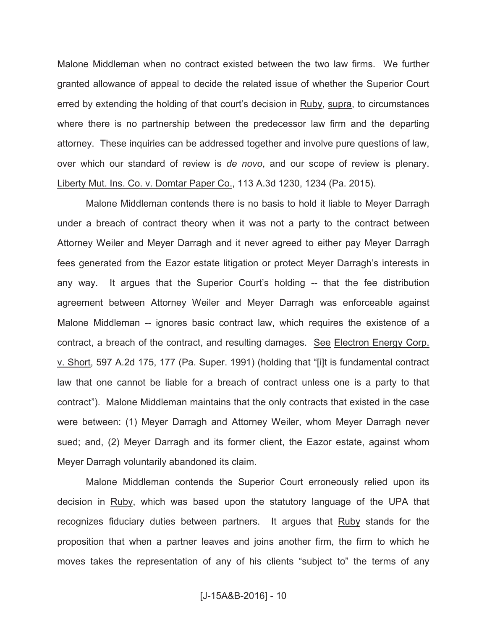Malone Middleman when no contract existed between the two law firms. We further granted allowance of appeal to decide the related issue of whether the Superior Court erred by extending the holding of that court's decision in Ruby, supra, to circumstances where there is no partnership between the predecessor law firm and the departing attorney. These inquiries can be addressed together and involve pure questions of law, over which our standard of review is *de novo*, and our scope of review is plenary. Liberty Mut. Ins. Co. v. Domtar Paper Co., 113 A.3d 1230, 1234 (Pa. 2015).

Malone Middleman contends there is no basis to hold it liable to Meyer Darragh under a breach of contract theory when it was not a party to the contract between Attorney Weiler and Meyer Darragh and it never agreed to either pay Meyer Darragh fees generated from the Eazor estate litigation or protect Meyer Darragh's interests in any way. It argues that the Superior Court's holding -- that the fee distribution agreement between Attorney Weiler and Meyer Darragh was enforceable against Malone Middleman -- ignores basic contract law, which requires the existence of a contract, a breach of the contract, and resulting damages. See Electron Energy Corp. v. Short, 597 A.2d 175, 177 (Pa. Super. 1991) (holding that "[i]t is fundamental contract law that one cannot be liable for a breach of contract unless one is a party to that contract"). Malone Middleman maintains that the only contracts that existed in the case were between: (1) Meyer Darragh and Attorney Weiler, whom Meyer Darragh never sued; and, (2) Meyer Darragh and its former client, the Eazor estate, against whom Meyer Darragh voluntarily abandoned its claim.

Malone Middleman contends the Superior Court erroneously relied upon its decision in Ruby, which was based upon the statutory language of the UPA that recognizes fiduciary duties between partners. It argues that Ruby stands for the proposition that when a partner leaves and joins another firm, the firm to which he moves takes the representation of any of his clients "subject to" the terms of any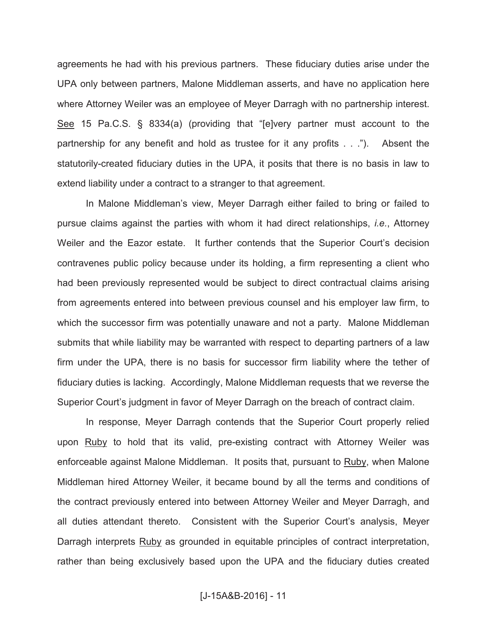agreements he had with his previous partners. These fiduciary duties arise under the UPA only between partners, Malone Middleman asserts, and have no application here where Attorney Weiler was an employee of Meyer Darragh with no partnership interest. See 15 Pa.C.S. § 8334(a) (providing that "[e]very partner must account to the partnership for any benefit and hold as trustee for it any profits . . ."). Absent the statutorily-created fiduciary duties in the UPA, it posits that there is no basis in law to extend liability under a contract to a stranger to that agreement.

In Malone Middleman's view, Meyer Darragh either failed to bring or failed to pursue claims against the parties with whom it had direct relationships, *i.e.*, Attorney Weiler and the Eazor estate. It further contends that the Superior Court's decision contravenes public policy because under its holding, a firm representing a client who had been previously represented would be subject to direct contractual claims arising from agreements entered into between previous counsel and his employer law firm, to which the successor firm was potentially unaware and not a party. Malone Middleman submits that while liability may be warranted with respect to departing partners of a law firm under the UPA, there is no basis for successor firm liability where the tether of fiduciary duties is lacking. Accordingly, Malone Middleman requests that we reverse the Superior Court's judgment in favor of Meyer Darragh on the breach of contract claim.

In response, Meyer Darragh contends that the Superior Court properly relied upon Ruby to hold that its valid, pre-existing contract with Attorney Weiler was enforceable against Malone Middleman. It posits that, pursuant to Ruby, when Malone Middleman hired Attorney Weiler, it became bound by all the terms and conditions of the contract previously entered into between Attorney Weiler and Meyer Darragh, and all duties attendant thereto. Consistent with the Superior Court's analysis, Meyer Darragh interprets Ruby as grounded in equitable principles of contract interpretation, rather than being exclusively based upon the UPA and the fiduciary duties created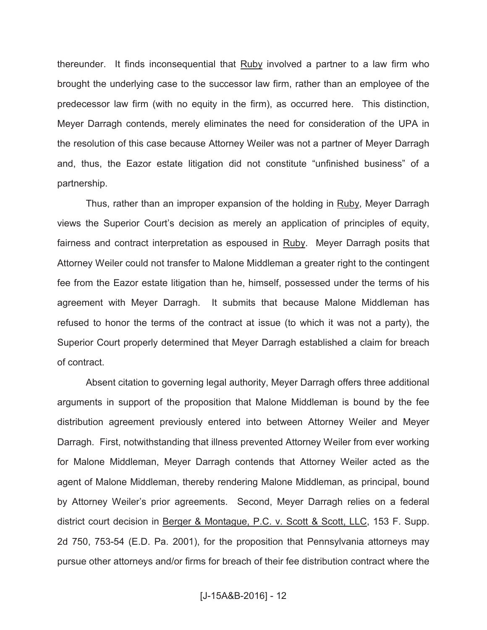thereunder. It finds inconsequential that Ruby involved a partner to a law firm who brought the underlying case to the successor law firm, rather than an employee of the predecessor law firm (with no equity in the firm), as occurred here. This distinction, Meyer Darragh contends, merely eliminates the need for consideration of the UPA in the resolution of this case because Attorney Weiler was not a partner of Meyer Darragh and, thus, the Eazor estate litigation did not constitute "unfinished business" of a partnership.

Thus, rather than an improper expansion of the holding in Ruby, Meyer Darragh views the Superior Court's decision as merely an application of principles of equity, fairness and contract interpretation as espoused in Ruby. Meyer Darragh posits that Attorney Weiler could not transfer to Malone Middleman a greater right to the contingent fee from the Eazor estate litigation than he, himself, possessed under the terms of his agreement with Meyer Darragh. It submits that because Malone Middleman has refused to honor the terms of the contract at issue (to which it was not a party), the Superior Court properly determined that Meyer Darragh established a claim for breach of contract.

Absent citation to governing legal authority, Meyer Darragh offers three additional arguments in support of the proposition that Malone Middleman is bound by the fee distribution agreement previously entered into between Attorney Weiler and Meyer Darragh. First, notwithstanding that illness prevented Attorney Weiler from ever working for Malone Middleman, Meyer Darragh contends that Attorney Weiler acted as the agent of Malone Middleman, thereby rendering Malone Middleman, as principal, bound by Attorney Weiler's prior agreements. Second, Meyer Darragh relies on a federal district court decision in Berger & Montague, P.C. v. Scott & Scott, LLC, 153 F. Supp. 2d 750, 753-54 (E.D. Pa. 2001), for the proposition that Pennsylvania attorneys may pursue other attorneys and/or firms for breach of their fee distribution contract where the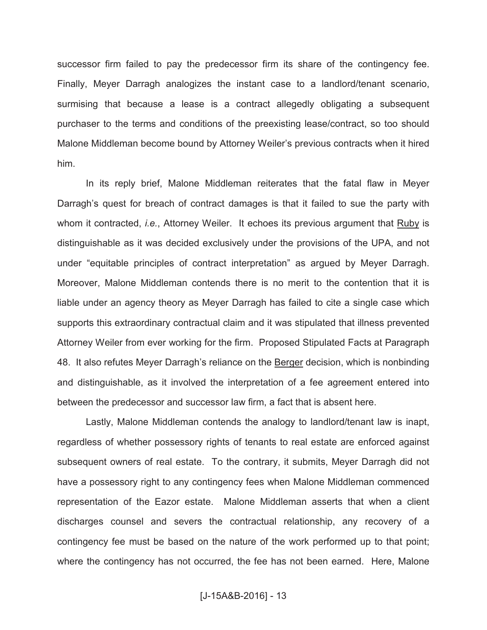successor firm failed to pay the predecessor firm its share of the contingency fee. Finally, Meyer Darragh analogizes the instant case to a landlord/tenant scenario, surmising that because a lease is a contract allegedly obligating a subsequent purchaser to the terms and conditions of the preexisting lease/contract, so too should Malone Middleman become bound by Attorney Weiler's previous contracts when it hired him.

In its reply brief, Malone Middleman reiterates that the fatal flaw in Meyer Darragh's quest for breach of contract damages is that it failed to sue the party with whom it contracted, *i.e.*, Attorney Weiler. It echoes its previous argument that Ruby is distinguishable as it was decided exclusively under the provisions of the UPA, and not under "equitable principles of contract interpretation" as argued by Meyer Darragh. Moreover, Malone Middleman contends there is no merit to the contention that it is liable under an agency theory as Meyer Darragh has failed to cite a single case which supports this extraordinary contractual claim and it was stipulated that illness prevented Attorney Weiler from ever working for the firm. Proposed Stipulated Facts at Paragraph 48. It also refutes Meyer Darragh's reliance on the Berger decision, which is nonbinding and distinguishable, as it involved the interpretation of a fee agreement entered into between the predecessor and successor law firm, a fact that is absent here.

Lastly, Malone Middleman contends the analogy to landlord/tenant law is inapt, regardless of whether possessory rights of tenants to real estate are enforced against subsequent owners of real estate. To the contrary, it submits, Meyer Darragh did not have a possessory right to any contingency fees when Malone Middleman commenced representation of the Eazor estate. Malone Middleman asserts that when a client discharges counsel and severs the contractual relationship, any recovery of a contingency fee must be based on the nature of the work performed up to that point; where the contingency has not occurred, the fee has not been earned. Here, Malone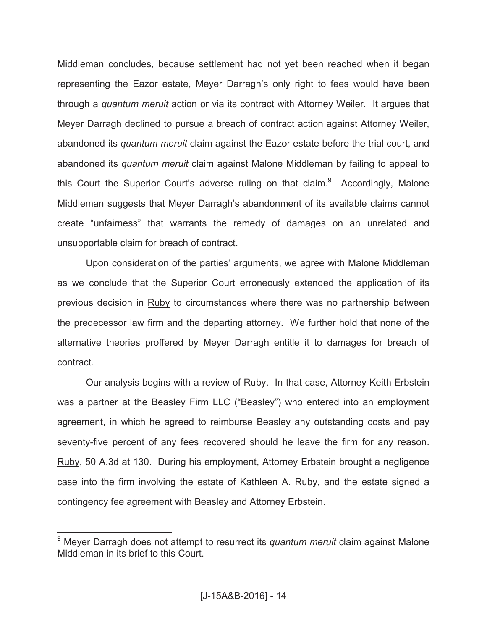Middleman concludes, because settlement had not yet been reached when it began representing the Eazor estate, Meyer Darragh's only right to fees would have been through a *quantum meruit* action or via its contract with Attorney Weiler. It argues that Meyer Darragh declined to pursue a breach of contract action against Attorney Weiler, abandoned its *quantum meruit* claim against the Eazor estate before the trial court, and abandoned its *quantum meruit* claim against Malone Middleman by failing to appeal to this Court the Superior Court's adverse ruling on that claim.<sup>9</sup> Accordingly, Malone Middleman suggests that Meyer Darragh's abandonment of its available claims cannot create "unfairness" that warrants the remedy of damages on an unrelated and unsupportable claim for breach of contract.

Upon consideration of the parties' arguments, we agree with Malone Middleman as we conclude that the Superior Court erroneously extended the application of its previous decision in Ruby to circumstances where there was no partnership between the predecessor law firm and the departing attorney. We further hold that none of the alternative theories proffered by Meyer Darragh entitle it to damages for breach of contract.

Our analysis begins with a review of Ruby. In that case, Attorney Keith Erbstein was a partner at the Beasley Firm LLC ("Beasley") who entered into an employment agreement, in which he agreed to reimburse Beasley any outstanding costs and pay seventy-five percent of any fees recovered should he leave the firm for any reason. Ruby, 50 A.3d at 130. During his employment, Attorney Erbstein brought a negligence case into the firm involving the estate of Kathleen A. Ruby, and the estate signed a contingency fee agreement with Beasley and Attorney Erbstein.

<sup>9</sup> Meyer Darragh does not attempt to resurrect its *quantum meruit* claim against Malone Middleman in its brief to this Court.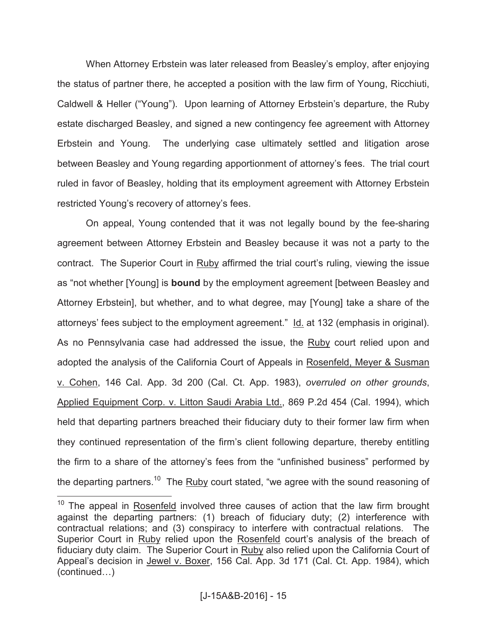When Attorney Erbstein was later released from Beasley's employ, after enjoying the status of partner there, he accepted a position with the law firm of Young, Ricchiuti, Caldwell & Heller ("Young"). Upon learning of Attorney Erbstein's departure, the Ruby estate discharged Beasley, and signed a new contingency fee agreement with Attorney Erbstein and Young. The underlying case ultimately settled and litigation arose between Beasley and Young regarding apportionment of attorney's fees. The trial court ruled in favor of Beasley, holding that its employment agreement with Attorney Erbstein restricted Young's recovery of attorney's fees.

On appeal, Young contended that it was not legally bound by the fee-sharing agreement between Attorney Erbstein and Beasley because it was not a party to the contract. The Superior Court in Ruby affirmed the trial court's ruling, viewing the issue as "not whether [Young] is **bound** by the employment agreement [between Beasley and Attorney Erbstein], but whether, and to what degree, may [Young] take a share of the attorneys' fees subject to the employment agreement." Id. at 132 (emphasis in original). As no Pennsylvania case had addressed the issue, the Ruby court relied upon and adopted the analysis of the California Court of Appeals in Rosenfeld, Meyer & Susman v. Cohen, 146 Cal. App. 3d 200 (Cal. Ct. App. 1983), *overruled on other grounds*, Applied Equipment Corp. v. Litton Saudi Arabia Ltd., 869 P.2d 454 (Cal. 1994), which held that departing partners breached their fiduciary duty to their former law firm when they continued representation of the firm's client following departure, thereby entitling the firm to a share of the attorney's fees from the "unfinished business" performed by the departing partners.<sup>10</sup> The Ruby court stated, "we agree with the sound reasoning of

 $10$  The appeal in Rosenfeld involved three causes of action that the law firm brought against the departing partners: (1) breach of fiduciary duty; (2) interference with contractual relations; and (3) conspiracy to interfere with contractual relations. The Superior Court in Ruby relied upon the Rosenfeld court's analysis of the breach of fiduciary duty claim. The Superior Court in Ruby also relied upon the California Court of Appeal's decision in Jewel v. Boxer, 156 Cal. App. 3d 171 (Cal. Ct. App. 1984), which (continued…)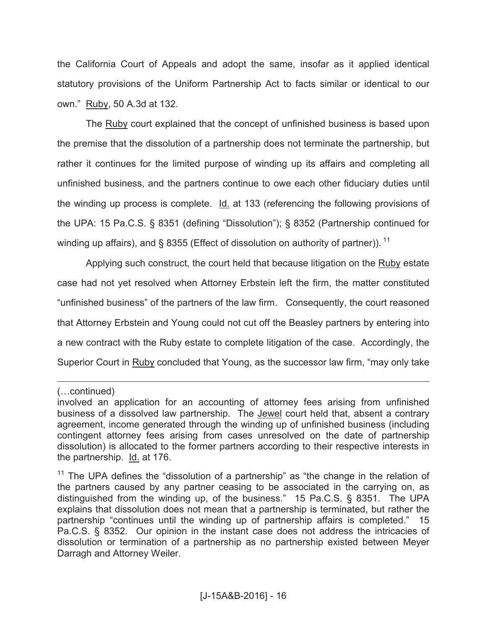the California Court of Appeals and adopt the same, insofar as it applied identical statutory provisions of the Uniform Partnership Act to facts similar or identical to our own." Ruby, 50 A.3d at 132.

The Ruby court explained that the concept of unfinished business is based upon the premise that the dissolution of a partnership does not terminate the partnership, but rather it continues for the limited purpose of winding up its affairs and completing all unfinished business, and the partners continue to owe each other fiduciary duties until the winding up process is complete. Id. at 133 (referencing the following provisions of the UPA: 15 Pa.C.S. § 8351 (defining "Dissolution"); § 8352 (Partnership continued for winding up affairs), and § 8355 (Effect of dissolution on authority of partner)).  $^{11}$ 

Applying such construct, the court held that because litigation on the Ruby estate case had not yet resolved when Attorney Erbstein left the firm, the matter constituted "unfinished business" of the partners of the law firm. Consequently, the court reasoned that Attorney Erbstein and Young could not cut off the Beasley partners by entering into a new contract with the Ruby estate to complete litigation of the case. Accordingly, the Superior Court in Ruby concluded that Young, as the successor law firm, "may only take

<sup>(…</sup>continued)

involved an application for an accounting of attorney fees arising from unfinished business of a dissolved law partnership. The Jewel court held that, absent a contrary agreement, income generated through the winding up of unfinished business (including contingent attorney fees arising from cases unresolved on the date of partnership dissolution) is allocated to the former partners according to their respective interests in the partnership. Id. at 176.

 $11$  The UPA defines the "dissolution of a partnership" as "the change in the relation of the partners caused by any partner ceasing to be associated in the carrying on, as distinguished from the winding up, of the business." 15 Pa.C.S. § 8351. The UPA explains that dissolution does not mean that a partnership is terminated, but rather the partnership "continues until the winding up of partnership affairs is completed." 15 Pa.C.S. § 8352. Our opinion in the instant case does not address the intricacies of dissolution or termination of a partnership as no partnership existed between Meyer Darragh and Attorney Weiler.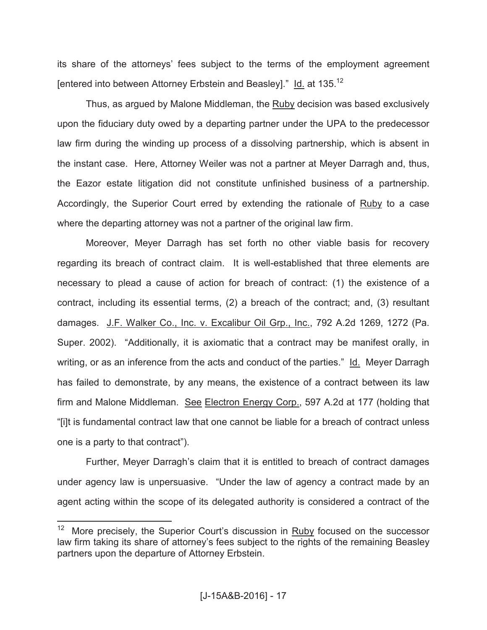its share of the attorneys' fees subject to the terms of the employment agreement [entered into between Attorney Erbstein and Beasley]." Id. at 135.<sup>12</sup>

Thus, as argued by Malone Middleman, the Ruby decision was based exclusively upon the fiduciary duty owed by a departing partner under the UPA to the predecessor law firm during the winding up process of a dissolving partnership, which is absent in the instant case. Here, Attorney Weiler was not a partner at Meyer Darragh and, thus, the Eazor estate litigation did not constitute unfinished business of a partnership. Accordingly, the Superior Court erred by extending the rationale of Ruby to a case where the departing attorney was not a partner of the original law firm.

Moreover, Meyer Darragh has set forth no other viable basis for recovery regarding its breach of contract claim. It is well-established that three elements are necessary to plead a cause of action for breach of contract: (1) the existence of a contract, including its essential terms, (2) a breach of the contract; and, (3) resultant damages. J.F. Walker Co., Inc. v. Excalibur Oil Grp., Inc., 792 A.2d 1269, 1272 (Pa. Super. 2002). "Additionally, it is axiomatic that a contract may be manifest orally, in writing, or as an inference from the acts and conduct of the parties." Id. Meyer Darragh has failed to demonstrate, by any means, the existence of a contract between its law firm and Malone Middleman. See Electron Energy Corp., 597 A.2d at 177 (holding that "[i]t is fundamental contract law that one cannot be liable for a breach of contract unless one is a party to that contract").

Further, Meyer Darragh's claim that it is entitled to breach of contract damages under agency law is unpersuasive. "Under the law of agency a contract made by an agent acting within the scope of its delegated authority is considered a contract of the

 $\frac{1}{12}$  More precisely, the Superior Court's discussion in Ruby focused on the successor law firm taking its share of attorney's fees subject to the rights of the remaining Beasley partners upon the departure of Attorney Erbstein.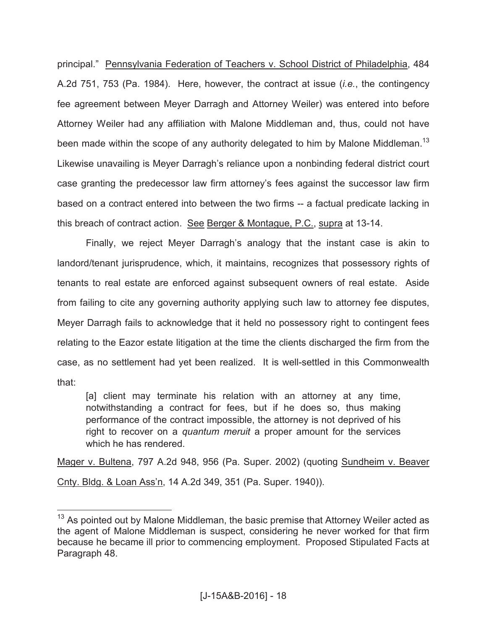principal." Pennsylvania Federation of Teachers v. School District of Philadelphia, 484 A.2d 751, 753 (Pa. 1984). Here, however, the contract at issue (*i.e.*, the contingency fee agreement between Meyer Darragh and Attorney Weiler) was entered into before Attorney Weiler had any affiliation with Malone Middleman and, thus, could not have been made within the scope of any authority delegated to him by Malone Middleman.<sup>13</sup> Likewise unavailing is Meyer Darragh's reliance upon a nonbinding federal district court case granting the predecessor law firm attorney's fees against the successor law firm based on a contract entered into between the two firms -- a factual predicate lacking in this breach of contract action. See Berger & Montague, P.C., supra at 13-14.

Finally, we reject Meyer Darragh's analogy that the instant case is akin to landord/tenant jurisprudence, which, it maintains, recognizes that possessory rights of tenants to real estate are enforced against subsequent owners of real estate. Aside from failing to cite any governing authority applying such law to attorney fee disputes, Meyer Darragh fails to acknowledge that it held no possessory right to contingent fees relating to the Eazor estate litigation at the time the clients discharged the firm from the case, as no settlement had yet been realized. It is well-settled in this Commonwealth that:

[a] client may terminate his relation with an attorney at any time, notwithstanding a contract for fees, but if he does so, thus making performance of the contract impossible, the attorney is not deprived of his right to recover on a *quantum meruit* a proper amount for the services which he has rendered.

Mager v. Bultena, 797 A.2d 948, 956 (Pa. Super. 2002) (quoting Sundheim v. Beaver Cnty. Bldg. & Loan Ass'n, 14 A.2d 349, 351 (Pa. Super. 1940)).

 $13$  As pointed out by Malone Middleman, the basic premise that Attorney Weiler acted as the agent of Malone Middleman is suspect, considering he never worked for that firm because he became ill prior to commencing employment. Proposed Stipulated Facts at Paragraph 48.